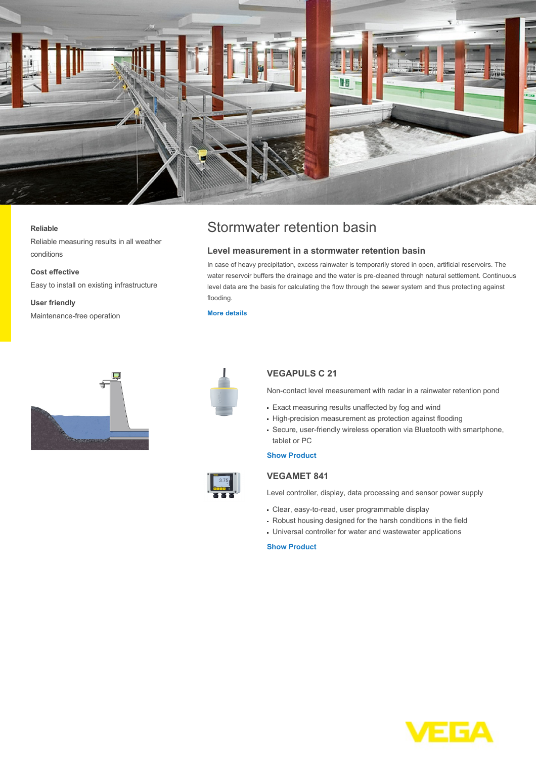

#### **Reliable**

Reliable measuring results in all weather conditions

**Cost effective**

Easy to install on existing infrastructure

**User friendly** Maintenance-free operation

# Stormwater retention basin

## **Level measurement in a stormwater retention basin**

In case of heavy precipitation, excess rainwater is temporarily stored in open, artificial reservoirs. The water reservoir buffers the drainage and the water is pre-cleaned through natural settlement. Continuous level data are the basis for calculating the flow through the sewer system and thus protecting against flooding.

### **[More details](http://localhost/industries/water-wastewater/wastewater-treatment/stormwater-retention-basin)**





# **VEGAPULS C 21**

Non-contact level measurement with radar in a rainwater retention pond

- Exact measuring results unaffected by fog and wind
- High-precision measurement as protection against flooding
- Secure, user-friendly wireless operation via Bluetooth with smartphone, tablet or PC

### **[Show Product](http://localhost/products/product-catalog/level/radar/vegapuls-c-21)**



Level controller, display, data processing and sensor power supply

- Clear, easy-to-read, user programmable display
- Robust housing designed for the harsh conditions in the field
- Universal controller for water and wastewater applications

# **[Show Product](http://localhost/products/product-catalog/signal-conditioning/controllers/vegamet-841)**